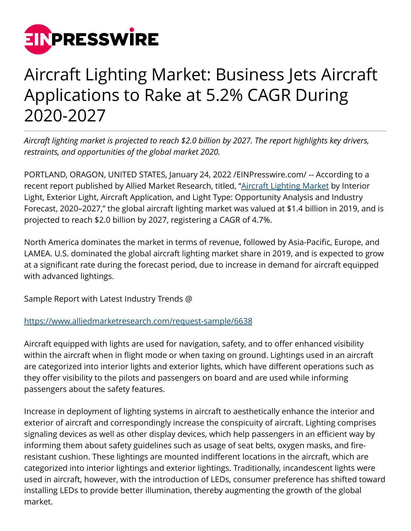

# Aircraft Lighting Market: Business Jets Aircraft Applications to Rake at 5.2% CAGR During 2020-2027

*Aircraft lighting market is projected to reach \$2.0 billion by 2027. The report highlights key drivers, restraints, and opportunities of the global market 2020.*

PORTLAND, ORAGON, UNITED STATES, January 24, 2022 [/EINPresswire.com](http://www.einpresswire.com)/ -- According to a recent report published by Allied Market Research, titled, "[Aircraft Lighting Market](https://www.alliedmarketresearch.com/aircraft-lighting-market-A06273) by Interior Light, Exterior Light, Aircraft Application, and Light Type: Opportunity Analysis and Industry Forecast, 2020–2027," the global aircraft lighting market was valued at \$1.4 billion in 2019, and is projected to reach \$2.0 billion by 2027, registering a CAGR of 4.7%.

North America dominates the market in terms of revenue, followed by Asia-Pacific, Europe, and LAMEA. U.S. dominated the global aircraft lighting market share in 2019, and is expected to grow at a significant rate during the forecast period, due to increase in demand for aircraft equipped with advanced lightings.

Sample Report with Latest Industry Trends @

## <https://www.alliedmarketresearch.com/request-sample/6638>

Aircraft equipped with lights are used for navigation, safety, and to offer enhanced visibility within the aircraft when in flight mode or when taxing on ground. Lightings used in an aircraft are categorized into interior lights and exterior lights, which have different operations such as they offer visibility to the pilots and passengers on board and are used while informing passengers about the safety features.

Increase in deployment of lighting systems in aircraft to aesthetically enhance the interior and exterior of aircraft and correspondingly increase the conspicuity of aircraft. Lighting comprises signaling devices as well as other display devices, which help passengers in an efficient way by informing them about safety guidelines such as usage of seat belts, oxygen masks, and fireresistant cushion. These lightings are mounted indifferent locations in the aircraft, which are categorized into interior lightings and exterior lightings. Traditionally, incandescent lights were used in aircraft, however, with the introduction of LEDs, consumer preference has shifted toward installing LEDs to provide better illumination, thereby augmenting the growth of the global market.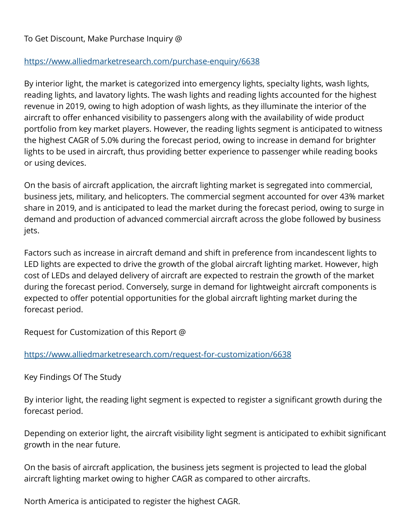### To Get Discount, Make Purchase Inquiry @

#### <https://www.alliedmarketresearch.com/purchase-enquiry/6638>

By interior light, the market is categorized into emergency lights, specialty lights, wash lights, reading lights, and lavatory lights. The wash lights and reading lights accounted for the highest revenue in 2019, owing to high adoption of wash lights, as they illuminate the interior of the aircraft to offer enhanced visibility to passengers along with the availability of wide product portfolio from key market players. However, the reading lights segment is anticipated to witness the highest CAGR of 5.0% during the forecast period, owing to increase in demand for brighter lights to be used in aircraft, thus providing better experience to passenger while reading books or using devices.

On the basis of aircraft application, the aircraft lighting market is segregated into commercial, business jets, military, and helicopters. The commercial segment accounted for over 43% market share in 2019, and is anticipated to lead the market during the forecast period, owing to surge in demand and production of advanced commercial aircraft across the globe followed by business jets.

Factors such as increase in aircraft demand and shift in preference from incandescent lights to LED lights are expected to drive the growth of the global aircraft lighting market. However, high cost of LEDs and delayed delivery of aircraft are expected to restrain the growth of the market during the forecast period. Conversely, surge in demand for lightweight aircraft components is expected to offer potential opportunities for the global aircraft lighting market during the forecast period.

Request for Customization of this Report @

#### <https://www.alliedmarketresearch.com/request-for-customization/6638>

Key Findings Of The Study

By interior light, the reading light segment is expected to register a significant growth during the forecast period.

Depending on exterior light, the aircraft visibility light segment is anticipated to exhibit significant growth in the near future.

On the basis of aircraft application, the business jets segment is projected to lead the global aircraft lighting market owing to higher CAGR as compared to other aircrafts.

North America is anticipated to register the highest CAGR.